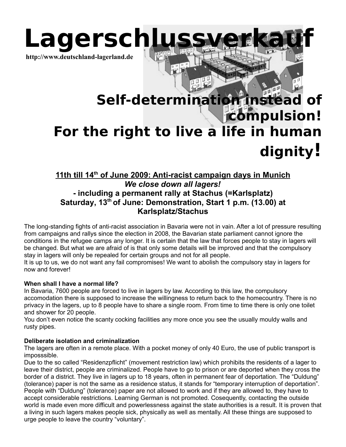

# **Self-determination instead of compulsion! For the right to live a life in human dignity!**

# **11th till 14th of June 2009: Anti-racist campaign days in Munich** *We close down all lagers!* **- including a permanent rally at Stachus (=Karlsplatz) Saturday, 13th of June: Demonstration, Start 1 p.m. (13.00) at Karlsplatz/Stachus**

The long-standing fights of anti-racist association in Bavaria were not in vain. After a lot of pressure resulting from campaigns and rallys since the election in 2008, the Bavarian state parliament cannot ignore the conditions in the refugee camps any longer. It is certain that the law that forces people to stay in lagers will be changed. But what we are afraid of is that only some details will be improved and that the compulsory stay in lagers will only be repealed for certain groups and not for all people.

It is up to us, we do not want any fail compromises! We want to abolish the compulsory stay in lagers for now and forever!

# **When shall I have a normal life?**

In Bavaria, 7600 people are forced to live in lagers by law. According to this law, the compulsory accomodation there is supposed to increase the willingness to return back to the homecountry. There is no privacy in the lagers, up to 8 people have to share a single room. From time to time there is only one toilet and shower for 20 people.

You don't even notice the scanty cocking facilities any more once you see the usually mouldy walls and rusty pipes.

#### **Deliberate isolation and criminalization**

The lagers are often in a remote place. With a pocket money of only 40 Euro, the use of public transport is imposssible.

Due to the so called "Residenzpflicht" (movement restriction law) which prohibits the residents of a lager to leave their district, people are criminalized. People have to go to prison or are deported when they cross the border of a district. They live in lagers up to 18 years, often in permanent fear of deportation. The "Duldung" (tolerance) paper is not the same as a residence status, it stands for "temporary interruption of deportation". People with "Duldung" (tolerance) paper are not allowed to work and if they are allowed to, they have to accept considerable restrictions. Learning German is not promoted. Cosequently, contacting the outside world is made even more difficult and powerlessness against the state authorities is a result. It is proven that a living in such lagers makes people sick, physically as well as mentally. All these things are supposed to urge people to leave the country "voluntary".